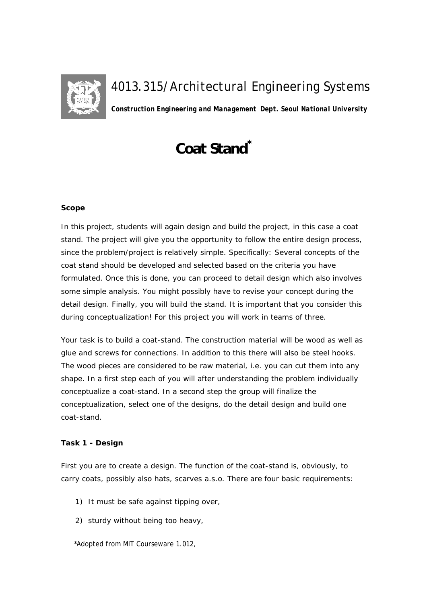

## *4013.315/Architectural Engineering Systems*

*Construction Engineering and Management Dept. Seoul National University*

# **Coat Stand\***

#### **Scope**

In this project, students will again design and build the project, in this case a coat stand. The project will give you the opportunity to follow the entire design process, since the problem/project is relatively simple. Specifically: Several concepts of the coat stand should be developed and selected based on the criteria you have formulated. Once this is done, you can proceed to detail design which also involves some simple analysis. You might possibly have to revise your concept during the detail design. Finally, you will build the stand. It is important that you consider this during conceptualization! For this project you will work in teams of three.

Your task is to build a coat-stand. The construction material will be wood as well as glue and screws for connections. In addition to this there will also be steel hooks. The wood pieces are considered to be raw material, i.e. you can cut them into any shape. In a first step each of you will after understanding the problem individually conceptualize a coat-stand. In a second step the group will finalize the conceptualization, select one of the designs, do the detail design and build one coat-stand.

### **Task 1 - Design**

First you are to create a design. The function of the coat-stand is, obviously, to carry coats, possibly also hats, scarves a.s.o. There are four basic requirements:

- 1) It must be safe against tipping over,
- 2) sturdy without being too heavy,

\*Adopted from MIT Courseware 1.012,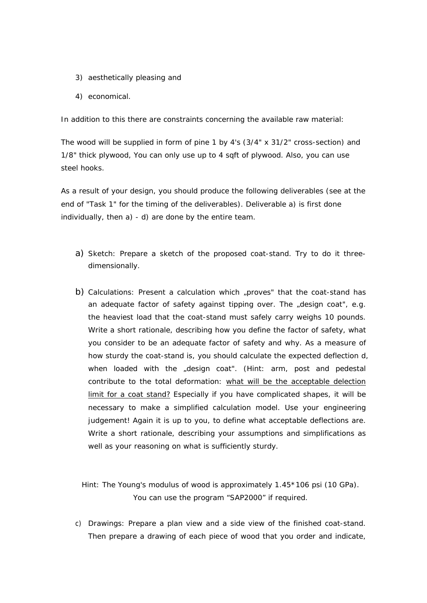- 3) aesthetically pleasing and
- 4) economical.

In addition to this there are constraints concerning the available raw material:

The wood will be supplied in form of pine 1 by 4's (3/4" x 31/2" cross-section) and 1/8" thick plywood, You can only use up to 4 sqft of plywood. Also, you can use steel hooks.

As a result of your design, you should produce the following deliverables (see at the end of "Task 1" for the timing of the deliverables). Deliverable a) is first done individually, then a) - d) are done by the entire team.

- a) Sketch: Prepare a sketch of the proposed coat-stand. Try to do it threedimensionally.
- b) Calculations: Present a calculation which "proves" that the coat-stand has an adequate factor of safety against tipping over. The "design coat", e.g. the heaviest load that the coat-stand must safely carry weighs 10 pounds. Write a short rationale, describing how you define the factor of safety, what you consider to be an adequate factor of safety and why. As a measure of how sturdy the coat-stand is, you should calculate the expected deflection d, when loaded with the "design coat". (Hint: arm, post and pedestal contribute to the total deformation: what will be the acceptable delection limit for a coat stand? Especially if you have complicated shapes, it will be necessary to make a simplified calculation model. Use your engineering judgement! Again it is up to you, to define what acceptable deflections are. Write a short rationale, describing your assumptions and simplifications as well as your reasoning on what is sufficiently sturdy.

Hint: The Young's modulus of wood is approximately 1.45\*106 psi (10 GPa). You can use the program "SAP2000" if required.

c) Drawings: Prepare a plan view and a side view of the finished coat-stand. Then prepare a drawing of each piece of wood that you order and indicate,